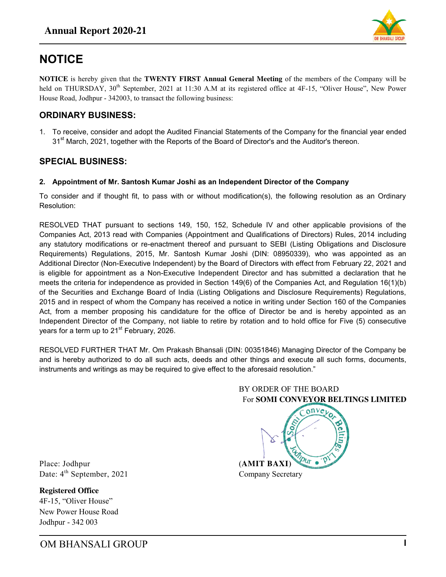

# **NOTICE**

**NOTICE** is hereby given that the **TWENTY FIRST Annual General Meeting** of the members of the Company will be held on THURSDAY, 30<sup>th</sup> September, 2021 at 11:30 A.M at its registered office at 4F-15, "Oliver House", New Power House Road, Jodhpur - 342003, to transact the following business:

### **ORDINARY BUSINESS:**

1. To receive, consider and adopt the Audited Financial Statements of the Company for the financial year ended 31<sup>st</sup> March, 2021, together with the Reports of the Board of Director's and the Auditor's thereon.

### **SPECIAL BUSINESS:**

#### **2. Appointment of Mr. Santosh Kumar Joshi as an Independent Director of the Company**

To consider and if thought fit, to pass with or without modification(s), the following resolution as an Ordinary Resolution:

RESOLVED THAT pursuant to sections 149, 150, 152, Schedule IV and other applicable provisions of the Companies Act, 2013 read with Companies (Appointment and Qualifications of Directors) Rules, 2014 including any statutory modifications or re-enactment thereof and pursuant to SEBI (Listing Obligations and Disclosure Requirements) Regulations, 2015, Mr. Santosh Kumar Joshi (DIN: 08950339), who was appointed as an Additional Director (Non-Executive Independent) by the Board of Directors with effect from February 22, 2021 and is eligible for appointment as a Non-Executive Independent Director and has submitted a declaration that he meets the criteria for independence as provided in Section 149(6) of the Companies Act, and Regulation 16(1)(b) of the Securities and Exchange Board of India (Listing Obligations and Disclosure Requirements) Regulations, 2015 and in respect of whom the Company has received a notice in writing under Section 160 of the Companies Act, from a member proposing his candidature for the office of Director be and is hereby appointed as an Independent Director of the Company, not liable to retire by rotation and to hold office for Five (5) consecutive years for a term up to 21<sup>st</sup> February, 2026.

RESOLVED FURTHER THAT Mr. Om Prakash Bhansali (DIN: 00351846) Managing Director of the Company be and is hereby authorized to do all such acts, deeds and other things and execute all such forms, documents, instruments and writings as may be required to give effect to the aforesaid resolution."



Place: Jodhpur (**AMIT BAXI**) Date:  $4^{\text{th}}$  September, 2021 Company Secretary

**Registered Office**  4F-15, "Oliver House" New Power House Road Jodhpur - 342 003

OM BHANSALI GROUP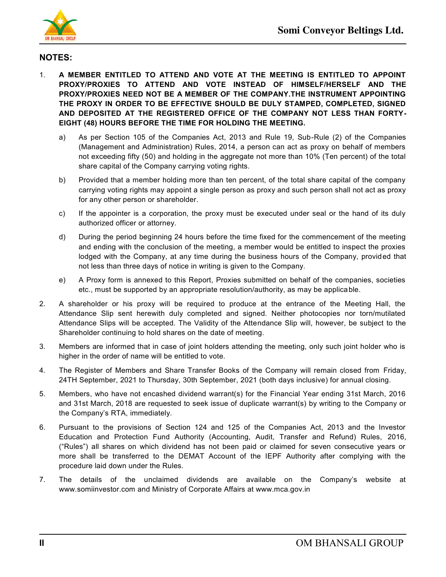

## **NOTES:**

- 1. **A MEMBER ENTITLED TO ATTEND AND VOTE AT THE MEETING IS ENTITLED TO APPOINT PROXY/PROXIES TO ATTEND AND VOTE INSTEAD OF HIMSELF/HERSELF AND THE PROXY/PROXIES NEED NOT BE A MEMBER OF THE COMPANY.THE INSTRUMENT APPOINTING THE PROXY IN ORDER TO BE EFFECTIVE SHOULD BE DULY STAMPED, COMPLETED, SIGNED AND DEPOSITED AT THE REGISTERED OFFICE OF THE COMPANY NOT LESS THAN FORTY-EIGHT (48) HOURS BEFORE THE TIME FOR HOLDING THE MEETING.** 
	- a) As per Section 105 of the Companies Act, 2013 and Rule 19, Sub-Rule (2) of the Companies (Management and Administration) Rules, 2014, a person can act as proxy on behalf of members not exceeding fifty (50) and holding in the aggregate not more than 10% (Ten percent) of the total share capital of the Company carrying voting rights.
	- b) Provided that a member holding more than ten percent, of the total share capital of the company carrying voting rights may appoint a single person as proxy and such person shall not act as proxy for any other person or shareholder.
	- c) If the appointer is a corporation, the proxy must be executed under seal or the hand of its duly authorized officer or attorney.
	- d) During the period beginning 24 hours before the time fixed for the commencement of the meeting and ending with the conclusion of the meeting, a member would be entitled to inspect the proxies lodged with the Company, at any time during the business hours of the Company, provided that not less than three days of notice in writing is given to the Company.
	- e) A Proxy form is annexed to this Report, Proxies submitted on behalf of the companies, societies etc., must be supported by an appropriate resolution/authority, as may be applicable.
- 2. A shareholder or his proxy will be required to produce at the entrance of the Meeting Hall, the Attendance Slip sent herewith duly completed and signed. Neither photocopies nor torn/mutilated Attendance Slips will be accepted. The Validity of the Attendance Slip will, however, be subject to the Shareholder continuing to hold shares on the date of meeting.
- 3. Members are informed that in case of joint holders attending the meeting, only such joint holder who is higher in the order of name will be entitled to vote.
- 4. The Register of Members and Share Transfer Books of the Company will remain closed from Friday, 24TH September, 2021 to Thursday, 30th September, 2021 (both days inclusive) for annual closing.
- 5. Members, who have not encashed dividend warrant(s) for the Financial Year ending 31st March, 2016 and 31st March, 2018 are requested to seek issue of duplicate warrant(s) by writing to the Company or the Company"s RTA, immediately.
- 6. Pursuant to the provisions of Section 124 and 125 of the Companies Act, 2013 and the Investor Education and Protection Fund Authority (Accounting, Audit, Transfer and Refund) Rules, 2016, ("Rules") all shares on which dividend has not been paid or claimed for seven consecutive years or more shall be transferred to the DEMAT Account of the IEPF Authority after complying with the procedure laid down under the Rules.
- 7. The details of the unclaimed dividends are available on the Company"s website at www.somiinvestor.com and Ministry of Corporate Affairs at www.mca.gov.in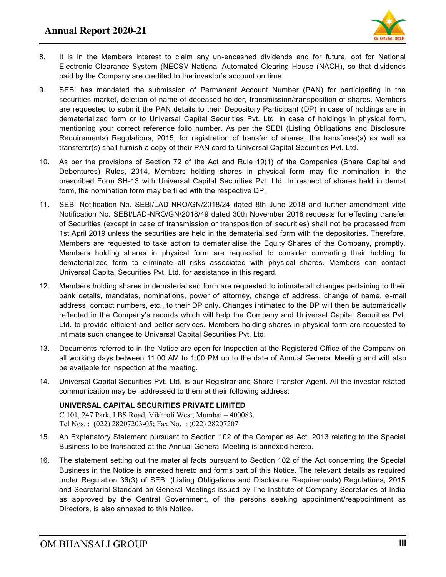

- 8. It is in the Members interest to claim any un-encashed dividends and for future, opt for National Electronic Clearance System (NECS)/ National Automated Clearing House (NACH), so that dividends paid by the Company are credited to the investor's account on time.
- 9. SEBI has mandated the submission of Permanent Account Number (PAN) for participating in the securities market, deletion of name of deceased holder, transmission/transposition of shares. Members are requested to submit the PAN details to their Depository Participant (DP) in case of holdings are in dematerialized form or to Universal Capital Securities Pvt. Ltd. in case of holdings in physical form, mentioning your correct reference folio number. As per the SEBI (Listing Obligations and Disclosure Requirements) Regulations, 2015, for registration of transfer of shares, the transferee(s) as well as transferor(s) shall furnish a copy of their PAN card to Universal Capital Securities Pvt. Ltd.
- 10. As per the provisions of Section 72 of the Act and Rule 19(1) of the Companies (Share Capital and Debentures) Rules, 2014, Members holding shares in physical form may file nomination in the prescribed Form SH-13 with Universal Capital Securities Pvt. Ltd. In respect of shares held in demat form, the nomination form may be filed with the respective DP.
- 11. SEBI Notification No. SEBI/LAD-NRO/GN/2018/24 dated 8th June 2018 and further amendment vide Notification No. SEBI/LAD-NRO/GN/2018/49 dated 30th November 2018 requests for effecting transfer of Securities (except in case of transmission or transposition of securities) shall not be processed from 1st April 2019 unless the securities are held in the dematerialised form with the depositories. Therefore, Members are requested to take action to dematerialise the Equity Shares of the Company, promptly. Members holding shares in physical form are requested to consider converting their holding to dematerialized form to eliminate all risks associated with physical shares. Members can contact Universal Capital Securities Pvt. Ltd. for assistance in this regard.
- 12. Members holding shares in dematerialised form are requested to intimate all changes pertaining to their bank details, mandates, nominations, power of attorney, change of address, change of name, e-mail address, contact numbers, etc., to their DP only. Changes intimated to the DP will then be automatically reflected in the Company"s records which will help the Company and Universal Capital Securities Pvt. Ltd. to provide efficient and better services. Members holding shares in physical form are requested to intimate such changes to Universal Capital Securities Pvt. Ltd.
- 13. Documents referred to in the Notice are open for Inspection at the Registered Office of the Company on all working days between 11:00 AM to 1:00 PM up to the date of Annual General Meeting and will also be available for inspection at the meeting.
- 14. Universal Capital Securities Pvt. Ltd. is our Registrar and Share Transfer Agent. All the investor related communication may be addressed to them at their following address:

#### **UNIVERSAL CAPITAL SECURITIES PRIVATE LIMITED**

C 101, 247 Park, LBS Road, Vikhroli West, Mumbai – 400083. Tel Nos. : (022) 28207203-05; Fax No. : (022) 28207207

- 15. An Explanatory Statement pursuant to Section 102 of the Companies Act, 2013 relating to the Special Business to be transacted at the Annual General Meeting is annexed hereto.
- 16. The statement setting out the material facts pursuant to Section 102 of the Act concerning the Special Business in the Notice is annexed hereto and forms part of this Notice. The relevant details as required under Regulation 36(3) of SEBI (Listing Obligations and Disclosure Requirements) Regulations, 2015 and Secretarial Standard on General Meetings issued by The Institute of Company Secretaries of India as approved by the Central Government, of the persons seeking appointment/reappointment as Directors, is also annexed to this Notice.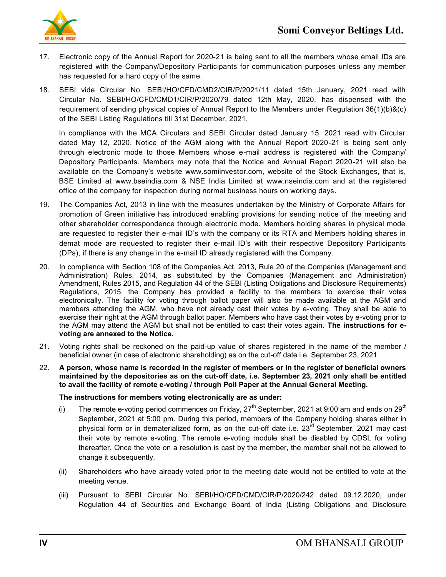

- 17. Electronic copy of the Annual Report for 2020-21 is being sent to all the members whose email IDs are registered with the Company/Depository Participants for communication purposes unless any member has requested for a hard copy of the same.
- 18. SEBI vide Circular No. SEBI/HO/CFD/CMD2/CIR/P/2021/11 dated 15th January, 2021 read with Circular No. SEBI/HO/CFD/CMD1/CIR/P/2020/79 dated 12th May, 2020, has dispensed with the requirement of sending physical copies of Annual Report to the Members under Regulation 36(1)(b)&(c) of the SEBI Listing Regulations till 31st December, 2021.

In compliance with the MCA Circulars and SEBI Circular dated January 15, 2021 read with Circular dated May 12, 2020, Notice of the AGM along with the Annual Report 2020-21 is being sent only through electronic mode to those Members whose e-mail address is registered with the Company/ Depository Participants. Members may note that the Notice and Annual Report 2020-21 will also be available on the Company"s website www.somiinvestor.com, website of the Stock Exchanges, that is, BSE Limited at [www.bseindia.com](http://www.bseindia.com/) & NSE India Limited at [www.nseindia.com](http://www.nseindia.com/) and at the registered office of the company for inspection during normal business hours on working days.

- 19. The Companies Act, 2013 in line with the measures undertaken by the Ministry of Corporate Affairs for promotion of Green initiative has introduced enabling provisions for sending notice of the meeting and other shareholder correspondence through electronic mode. Members holding shares in physical mode are requested to register their e-mail ID"s with the company or its RTA and Members holding shares in demat mode are requested to register their e-mail ID"s with their respective Depository Participants (DPs), if there is any change in the e-mail ID already registered with the Company.
- 20. In compliance with Section 108 of the Companies Act, 2013, Rule 20 of the Companies (Management and Administration) Rules, 2014, as substituted by the Companies (Management and Administration) Amendment, Rules 2015, and Regulation 44 of the SEBI (Listing Obligations and Disclosure Requirements) Regulations, 2015, the Company has provided a facility to the members to exercise their votes electronically. The facility for voting through ballot paper will also be made available at the AGM and members attending the AGM, who have not already cast their votes by e-voting. They shall be able to exercise their right at the AGM through ballot paper. Members who have cast their votes by e-voting prior to the AGM may attend the AGM but shall not be entitled to cast their votes again. **The instructions for evoting are annexed to the Notice.**
- 21. Voting rights shall be reckoned on the paid-up value of shares registered in the name of the member / beneficial owner (in case of electronic shareholding) as on the cut-off date i.e. September 23, 2021.
- 22. **A person, whose name is recorded in the register of members or in the register of beneficial owners maintained by the depositories as on the cut-off date, i.e. September 23, 2021 only shall be entitled to avail the facility of remote e-voting / through Poll Paper at the Annual General Meeting.**

#### **The instructions for members voting electronically are as under:**

- (i) The remote e-voting period commences on Friday,  $27<sup>th</sup>$  September, 2021 at 9:00 am and ends on  $29<sup>th</sup>$ September, 2021 at 5:00 pm. During this period, members of the Company holding shares either in physical form or in dematerialized form, as on the cut-off date i.e.  $23<sup>rd</sup>$  September, 2021 may cast their vote by remote e-voting. The remote e-voting module shall be disabled by CDSL for voting thereafter. Once the vote on a resolution is cast by the member, the member shall not be allowed to change it subsequently.
- (ii) Shareholders who have already voted prior to the meeting date would not be entitled to vote at the meeting venue.
- (iii) Pursuant to SEBI Circular No. SEBI/HO/CFD/CMD/CIR/P/2020/242 dated 09.12.2020, under Regulation 44 of Securities and Exchange Board of India (Listing Obligations and Disclosure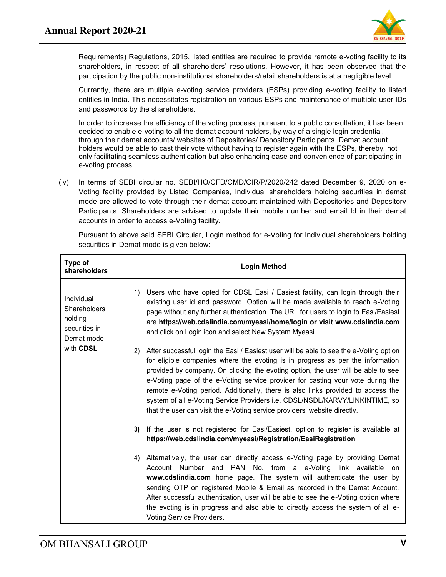

Requirements) Regulations, 2015, listed entities are required to provide remote e-voting facility to its shareholders, in respect of all shareholders" resolutions. However, it has been observed that the participation by the public non-institutional shareholders/retail shareholders is at a negligible level.

Currently, there are multiple e-voting service providers (ESPs) providing e-voting facility to listed entities in India. This necessitates registration on various ESPs and maintenance of multiple user IDs and passwords by the shareholders.

In order to increase the efficiency of the voting process, pursuant to a public consultation, it has been decided to enable e-voting to all the demat account holders, by way of a single login credential, through their demat accounts/ websites of Depositories/ Depository Participants. Demat account holders would be able to cast their vote without having to register again with the ESPs, thereby, not only facilitating seamless authentication but also enhancing ease and convenience of participating in e-voting process.

(iv) In terms of SEBI circular no. SEBI/HO/CFD/CMD/CIR/P/2020/242 dated December 9, 2020 on e-Voting facility provided by Listed Companies, Individual shareholders holding securities in demat mode are allowed to vote through their demat account maintained with Depositories and Depository Participants. Shareholders are advised to update their mobile number and email Id in their demat accounts in order to access e-Voting facility.

Pursuant to above said SEBI Circular, Login method for e-Voting for Individual shareholders holding securities in Demat mode is given below:

| Type of<br>shareholders                                              | <b>Login Method</b>                                                                                                                                                                                                                                                                                                                                                                                                                                                                                                                                                                                      |
|----------------------------------------------------------------------|----------------------------------------------------------------------------------------------------------------------------------------------------------------------------------------------------------------------------------------------------------------------------------------------------------------------------------------------------------------------------------------------------------------------------------------------------------------------------------------------------------------------------------------------------------------------------------------------------------|
| Individual<br>Shareholders<br>holding<br>securities in<br>Demat mode | Users who have opted for CDSL Easi / Easiest facility, can login through their<br>1)<br>existing user id and password. Option will be made available to reach e-Voting<br>page without any further authentication. The URL for users to login to Easi/Easiest<br>are https://web.cdslindia.com/myeasi/home/login or visit www.cdslindia.com<br>and click on Login icon and select New System Myeasi.                                                                                                                                                                                                     |
| with CDSL                                                            | After successful login the Easi / Easiest user will be able to see the e-Voting option<br>(2)<br>for eligible companies where the evoting is in progress as per the information<br>provided by company. On clicking the evoting option, the user will be able to see<br>e-Voting page of the e-Voting service provider for casting your vote during the<br>remote e-Voting period. Additionally, there is also links provided to access the<br>system of all e-Voting Service Providers i.e. CDSL/NSDL/KARVY/LINKINTIME, so<br>that the user can visit the e-Voting service providers' website directly. |
|                                                                      | If the user is not registered for Easi/Easiest, option to register is available at<br>3)<br>https://web.cdslindia.com/myeasi/Registration/EasiRegistration                                                                                                                                                                                                                                                                                                                                                                                                                                               |
|                                                                      | Alternatively, the user can directly access e-Voting page by providing Demat<br>4)<br>Account Number and PAN No. from a e-Voting link available on<br>www.cdslindia.com home page. The system will authenticate the user by<br>sending OTP on registered Mobile & Email as recorded in the Demat Account.<br>After successful authentication, user will be able to see the e-Voting option where<br>the evoting is in progress and also able to directly access the system of all e-<br>Voting Service Providers.                                                                                        |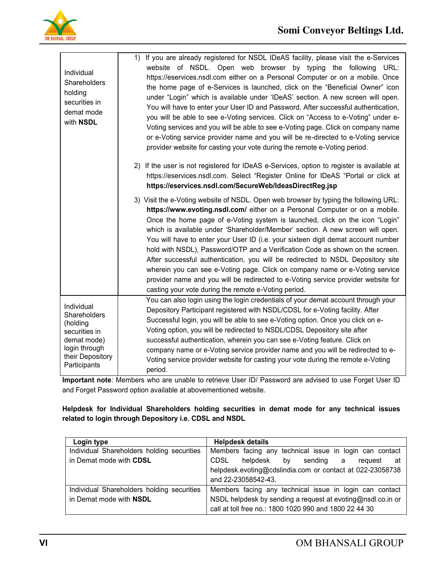

| Individual<br>Shareholders<br>holding<br>securities in<br>demat mode<br>with NSDL                                           | If you are already registered for NSDL IDeAS facility, please visit the e-Services<br>1)<br>website of NSDL. Open web browser by typing the following URL:<br>https://eservices.nsdl.com either on a Personal Computer or on a mobile. Once<br>the home page of e-Services is launched, click on the "Beneficial Owner" icon<br>under "Login" which is available under 'IDeAS' section. A new screen will open.<br>You will have to enter your User ID and Password. After successful authentication,<br>you will be able to see e-Voting services. Click on "Access to e-Voting" under e-<br>Voting services and you will be able to see e-Voting page. Click on company name<br>or e-Voting service provider name and you will be re-directed to e-Voting service<br>provider website for casting your vote during the remote e-Voting period.<br>2) If the user is not registered for IDeAS e-Services, option to register is available at |
|-----------------------------------------------------------------------------------------------------------------------------|-----------------------------------------------------------------------------------------------------------------------------------------------------------------------------------------------------------------------------------------------------------------------------------------------------------------------------------------------------------------------------------------------------------------------------------------------------------------------------------------------------------------------------------------------------------------------------------------------------------------------------------------------------------------------------------------------------------------------------------------------------------------------------------------------------------------------------------------------------------------------------------------------------------------------------------------------|
|                                                                                                                             | https://eservices.nsdl.com. Select "Register Online for IDeAS "Portal or click at<br>https://eservices.nsdl.com/SecureWeb/IdeasDirectReg.jsp                                                                                                                                                                                                                                                                                                                                                                                                                                                                                                                                                                                                                                                                                                                                                                                                  |
|                                                                                                                             | 3) Visit the e-Voting website of NSDL. Open web browser by typing the following URL:<br>https://www.evoting.nsdl.com/ either on a Personal Computer or on a mobile.<br>Once the home page of e-Voting system is launched, click on the icon "Login"<br>which is available under 'Shareholder/Member' section. A new screen will open.<br>You will have to enter your User ID (i.e. your sixteen digit demat account number<br>hold with NSDL), Password/OTP and a Verification Code as shown on the screen.<br>After successful authentication, you will be redirected to NSDL Depository site<br>wherein you can see e-Voting page. Click on company name or e-Voting service<br>provider name and you will be redirected to e-Voting service provider website for<br>casting your vote during the remote e-Voting period.                                                                                                                   |
| Individual<br>Shareholders<br>(holding<br>securities in<br>demat mode)<br>login through<br>their Depository<br>Participants | You can also login using the login credentials of your demat account through your<br>Depository Participant registered with NSDL/CDSL for e-Voting facility. After<br>Successful login, you will be able to see e-Voting option. Once you click on e-<br>Voting option, you will be redirected to NSDL/CDSL Depository site after<br>successful authentication, wherein you can see e-Voting feature. Click on<br>company name or e-Voting service provider name and you will be redirected to e-<br>Voting service provider website for casting your vote during the remote e-Voting<br>period.                                                                                                                                                                                                                                                                                                                                              |

**Important note**: Members who are unable to retrieve User ID/ Password are advised to use Forget User ID and Forget Password option available at abovementioned website.

**Helpdesk for Individual Shareholders holding securities in demat mode for any technical issues related to login through Depository i.e. CDSL and NSDL** 

| Login type                                 | <b>Helpdesk details</b>                                     |  |  |  |
|--------------------------------------------|-------------------------------------------------------------|--|--|--|
| Individual Shareholders holding securities | Members facing any technical issue in login can contact     |  |  |  |
| in Demat mode with CDSL                    | CDSL<br>helpdesk<br>bv<br>sending<br>reguest<br>- at<br>a   |  |  |  |
|                                            | helpdesk.evoting@cdslindia.com or contact at 022-23058738   |  |  |  |
|                                            | and 22-23058542-43.                                         |  |  |  |
| Individual Shareholders holding securities | Members facing any technical issue in login can contact     |  |  |  |
| in Demat mode with NSDL                    | NSDL helpdesk by sending a request at evoting@nsdl.co.in or |  |  |  |
|                                            | call at toll free no.: 1800 1020 990 and 1800 22 44 30      |  |  |  |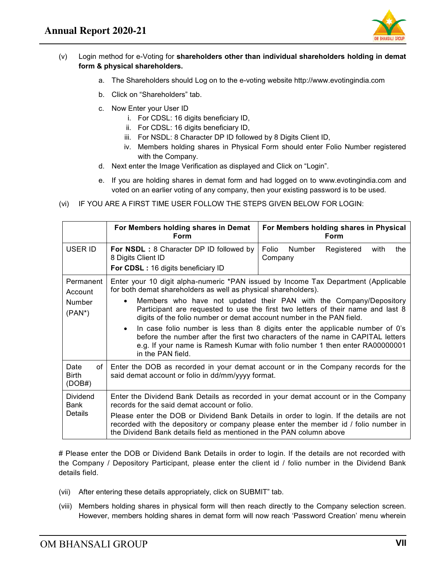

#### (v) Login method for e-Voting for **shareholders other than individual shareholders holding in demat form & physical shareholders.**

- a. The Shareholders should Log on to the e-voting website http://www.evotingindia.com
- b. Click on "Shareholders" tab.
- c. Now Enter your User ID
	- i. For CDSL: 16 digits beneficiary ID,
	- ii. For CDSL: 16 digits beneficiary ID,
	- iii. For NSDL: 8 Character DP ID followed by 8 Digits Client ID,
	- iv. Members holding shares in Physical Form should enter Folio Number registered with the Company.
- d. Next enter the Image Verification as displayed and Click on "Login".
- e. If you are holding shares in demat form and had logged on to www.evotingindia.com and voted on an earlier voting of any company, then your existing password is to be used.
- (vi) IF YOU ARE A FIRST TIME USER FOLLOW THE STEPS GIVEN BELOW FOR LOGIN:

|                                             | For Members holding shares in Demat<br>Form                                                                                                                                                                                                                                                                                                                                                                                                                                                                                                                                                                                                                                | For Members holding shares in Physical<br><b>Form</b>                               |  |
|---------------------------------------------|----------------------------------------------------------------------------------------------------------------------------------------------------------------------------------------------------------------------------------------------------------------------------------------------------------------------------------------------------------------------------------------------------------------------------------------------------------------------------------------------------------------------------------------------------------------------------------------------------------------------------------------------------------------------------|-------------------------------------------------------------------------------------|--|
| USER ID                                     | For NSDL: 8 Character DP ID followed by<br>8 Digits Client ID<br>For CDSL: 16 digits beneficiary ID                                                                                                                                                                                                                                                                                                                                                                                                                                                                                                                                                                        | Folio<br>Number<br>Registered<br>with<br>the<br>Company                             |  |
| Permanent<br>Account<br>Number<br>$(PAN^*)$ | Enter your 10 digit alpha-numeric *PAN issued by Income Tax Department (Applicable<br>for both demat shareholders as well as physical shareholders).<br>Members who have not updated their PAN with the Company/Depository<br>Participant are requested to use the first two letters of their name and last 8<br>digits of the folio number or demat account number in the PAN field.<br>In case folio number is less than 8 digits enter the applicable number of 0's<br>$\bullet$<br>before the number after the first two characters of the name in CAPITAL letters<br>e.g. If your name is Ramesh Kumar with folio number 1 then enter RA00000001<br>in the PAN field. |                                                                                     |  |
| Date<br>οf<br><b>Birth</b><br>(DOB#)        | Enter the DOB as recorded in your demat account or in the Company records for the<br>said demat account or folio in dd/mm/yyyy format.                                                                                                                                                                                                                                                                                                                                                                                                                                                                                                                                     |                                                                                     |  |
| Dividend<br><b>Bank</b>                     | records for the said demat account or folio.                                                                                                                                                                                                                                                                                                                                                                                                                                                                                                                                                                                                                               | Enter the Dividend Bank Details as recorded in your demat account or in the Company |  |
| Details                                     | Please enter the DOB or Dividend Bank Details in order to login. If the details are not<br>recorded with the depository or company please enter the member id / folio number in<br>the Dividend Bank details field as mentioned in the PAN column above                                                                                                                                                                                                                                                                                                                                                                                                                    |                                                                                     |  |

# Please enter the DOB or Dividend Bank Details in order to login. If the details are not recorded with the Company / Depository Participant, please enter the client id / folio number in the Dividend Bank details field.

- (vii) After entering these details appropriately, click on SUBMIT" tab.
- (viii) Members holding shares in physical form will then reach directly to the Company selection screen. However, members holding shares in demat form will now reach "Password Creation" menu wherein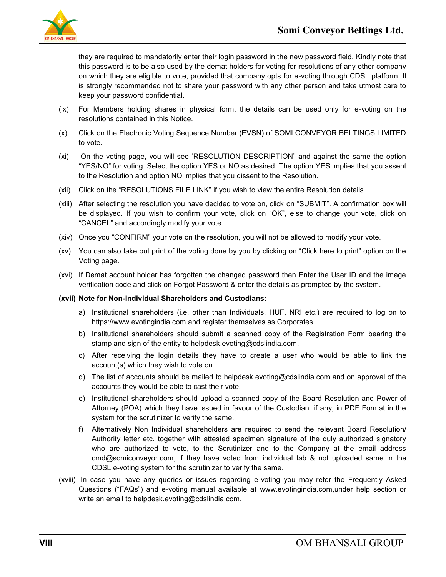

they are required to mandatorily enter their login password in the new password field. Kindly note that this password is to be also used by the demat holders for voting for resolutions of any other company on which they are eligible to vote, provided that company opts for e-voting through CDSL platform. It is strongly recommended not to share your password with any other person and take utmost care to keep your password confidential.

- (ix) For Members holding shares in physical form, the details can be used only for e-voting on the resolutions contained in this Notice.
- (x) Click on the Electronic Voting Sequence Number (EVSN) of SOMI CONVEYOR BELTINGS LIMITED to vote.
- (xi) On the voting page, you will see "RESOLUTION DESCRIPTION" and against the same the option "YES/NO" for voting. Select the option YES or NO as desired. The option YES implies that you assent to the Resolution and option NO implies that you dissent to the Resolution.
- (xii) Click on the "RESOLUTIONS FILE LINK" if you wish to view the entire Resolution details.
- (xiii) After selecting the resolution you have decided to vote on, click on "SUBMIT". A confirmation box will be displayed. If you wish to confirm your vote, click on "OK", else to change your vote, click on "CANCEL" and accordingly modify your vote.
- (xiv) Once you "CONFIRM" your vote on the resolution, you will not be allowed to modify your vote.
- (xv) You can also take out print of the voting done by you by clicking on "Click here to print" option on the Voting page.
- (xvi) If Demat account holder has forgotten the changed password then Enter the User ID and the image verification code and click on Forgot Password & enter the details as prompted by the system.

#### **(xvii) Note for Non-Individual Shareholders and Custodians:**

- a) Institutional shareholders (i.e. other than Individuals, HUF, NRI etc.) are required to log on to https://www.evotingindia.com and register themselves as Corporates.
- b) Institutional shareholders should submit a scanned copy of the Registration Form bearing the stamp and sign of the entity to helpdesk.evoting@cdslindia.com.
- c) After receiving the login details they have to create a user who would be able to link the account(s) which they wish to vote on.
- d) The list of accounts should be mailed to helpdesk.evoting@cdslindia.com and on approval of the accounts they would be able to cast their vote.
- e) Institutional shareholders should upload a scanned copy of the Board Resolution and Power of Attorney (POA) which they have issued in favour of the Custodian. if any, in PDF Format in the system for the scrutinizer to verify the same.
- f) Alternatively Non Individual shareholders are required to send the relevant Board Resolution/ Authority letter etc. together with attested specimen signature of the duly authorized signatory who are authorized to vote, to the Scrutinizer and to the Company at the email address cmd@somiconveyor.com, if they have voted from individual tab & not uploaded same in the CDSL e-voting system for the scrutinizer to verify the same.
- (xviii) In case you have any queries or issues regarding e-voting you may refer the Frequently Asked Questions ("FAQs") and e-voting manual available at www.evotingindia.com,under help section or write an email to helpdesk.evoting@cdslindia.com.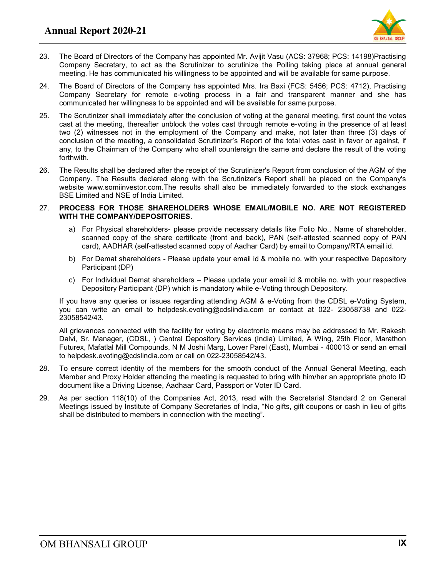

- 23. The Board of Directors of the Company has appointed Mr. Avijit Vasu (ACS: 37968; PCS: 14198)Practising Company Secretary, to act as the Scrutinizer to scrutinize the Polling taking place at annual general meeting. He has communicated his willingness to be appointed and will be available for same purpose.
- 24. The Board of Directors of the Company has appointed Mrs. Ira Baxi (FCS: 5456; PCS: 4712), Practising Company Secretary for remote e-voting process in a fair and transparent manner and she has communicated her willingness to be appointed and will be available for same purpose.
- 25. The Scrutinizer shall immediately after the conclusion of voting at the general meeting, first count the votes cast at the meeting, thereafter unblock the votes cast through remote e-voting in the presence of at least two (2) witnesses not in the employment of the Company and make, not later than three (3) days of conclusion of the meeting, a consolidated Scrutinizer"s Report of the total votes cast in favor or against, if any, to the Chairman of the Company who shall countersign the same and declare the result of the voting forthwith.
- 26. The Results shall be declared after the receipt of the Scrutinizer's Report from conclusion of the AGM of the Company. The Results declared along with the Scrutinizer's Report shall be placed on the Company's website www.somiinvestor.com.The results shall also be immediately forwarded to the stock exchanges BSE Limited and NSE of India Limited.

#### 27. **PROCESS FOR THOSE SHAREHOLDERS WHOSE EMAIL/MOBILE NO. ARE NOT REGISTERED WITH THE COMPANY/DEPOSITORIES.**

- a) For Physical shareholders- please provide necessary details like Folio No., Name of shareholder, scanned copy of the share certificate (front and back), PAN (self-attested scanned copy of PAN card), AADHAR (self-attested scanned copy of Aadhar Card) by email to Company/RTA email id.
- b) For Demat shareholders Please update your email id & mobile no. with your respective Depository Participant (DP)
- c) For Individual Demat shareholders Please update your email id & mobile no. with your respective Depository Participant (DP) which is mandatory while e-Voting through Depository.

If you have any queries or issues regarding attending AGM & e-Voting from the CDSL e-Voting System, you can write an email to helpdesk.evoting@cdslindia.com or contact at 022- 23058738 and 022- 23058542/43.

All grievances connected with the facility for voting by electronic means may be addressed to Mr. Rakesh Dalvi, Sr. Manager, (CDSL, ) Central Depository Services (India) Limited, A Wing, 25th Floor, Marathon Futurex, Mafatlal Mill Compounds, N M Joshi Marg, Lower Parel (East), Mumbai - 400013 or send an email to helpdesk.evoting@cdslindia.com or call on 022-23058542/43.

- 28. To ensure correct identity of the members for the smooth conduct of the Annual General Meeting, each Member and Proxy Holder attending the meeting is requested to bring with him/her an appropriate photo ID document like a Driving License, Aadhaar Card, Passport or Voter ID Card.
- 29. As per section 118(10) of the Companies Act, 2013, read with the Secretarial Standard 2 on General Meetings issued by Institute of Company Secretaries of India, "No gifts, gift coupons or cash in lieu of gifts shall be distributed to members in connection with the meeting".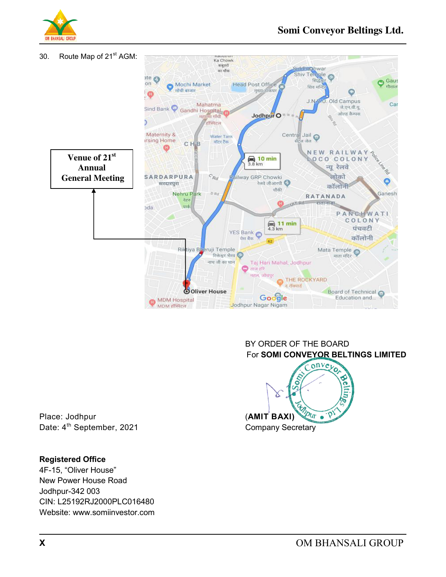



BY ORDER OF THE BOARD



Place: Jodhpur **(AMIT BAXI)** 

### **Registered Office**

4F-15, "Oliver House" New Power House Road Jodhpur-342 003 CIN: L25192RJ2000PLC016480 Website: www.somiinvestor.com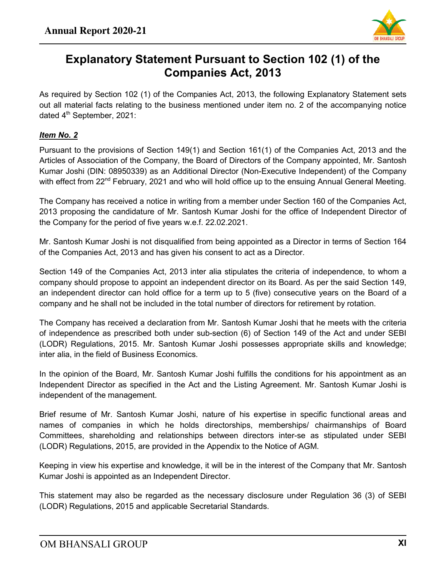

# **Explanatory Statement Pursuant to Section 102 (1) of the Companies Act, 2013**

As required by Section 102 (1) of the Companies Act, 2013, the following Explanatory Statement sets out all material facts relating to the business mentioned under item no. 2 of the accompanying notice dated 4<sup>th</sup> September, 2021:

## *Item No. 2*

Pursuant to the provisions of Section 149(1) and Section 161(1) of the Companies Act, 2013 and the Articles of Association of the Company, the Board of Directors of the Company appointed, Mr. Santosh Kumar Joshi (DIN: [08950339\)](https://www.mca.gov.in/mcafoportal/companyLLPMasterData.do) as an Additional Director (Non-Executive Independent) of the Company with effect from 22<sup>nd</sup> February, 2021 and who will hold office up to the ensuing Annual General Meeting.

The Company has received a notice in writing from a member under Section 160 of the Companies Act, 2013 proposing the candidature of Mr. Santosh Kumar Joshi for the office of Independent Director of the Company for the period of five years w.e.f. 22.02.2021.

Mr. Santosh Kumar Joshi is not disqualified from being appointed as a Director in terms of Section 164 of the Companies Act, 2013 and has given his consent to act as a Director.

Section 149 of the Companies Act, 2013 inter alia stipulates the criteria of independence, to whom a company should propose to appoint an independent director on its Board. As per the said Section 149, an independent director can hold office for a term up to 5 (five) consecutive years on the Board of a company and he shall not be included in the total number of directors for retirement by rotation.

The Company has received a declaration from Mr. Santosh Kumar Joshi that he meets with the criteria of independence as prescribed both under sub-section (6) of Section 149 of the Act and under SEBI (LODR) Regulations, 2015. Mr. Santosh Kumar Joshi possesses appropriate skills and knowledge; inter alia, in the field of Business Economics.

In the opinion of the Board, Mr. Santosh Kumar Joshi fulfills the conditions for his appointment as an Independent Director as specified in the Act and the Listing Agreement. Mr. Santosh Kumar Joshi is independent of the management.

Brief resume of Mr. Santosh Kumar Joshi, nature of his expertise in specific functional areas and names of companies in which he holds directorships, memberships/ chairmanships of Board Committees, shareholding and relationships between directors inter-se as stipulated under SEBI (LODR) Regulations, 2015, are provided in the Appendix to the Notice of AGM.

Keeping in view his expertise and knowledge, it will be in the interest of the Company that Mr. Santosh Kumar Joshi is appointed as an Independent Director.

This statement may also be regarded as the necessary disclosure under Regulation 36 (3) of SEBI (LODR) Regulations, 2015 and applicable Secretarial Standards.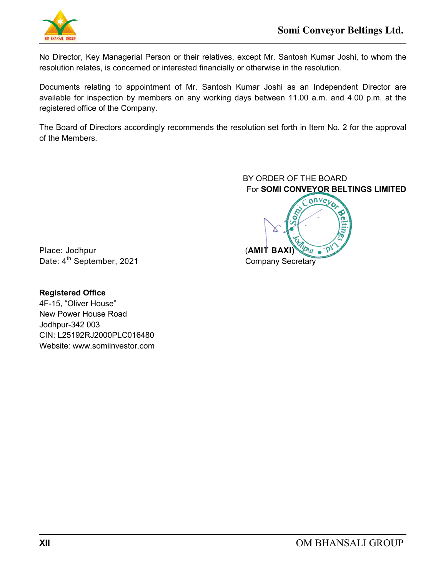

No Director, Key Managerial Person or their relatives, except Mr. Santosh Kumar Joshi, to whom the resolution relates, is concerned or interested financially or otherwise in the resolution.

Documents relating to appointment of Mr. Santosh Kumar Joshi as an Independent Director are available for inspection by members on any working days between 11.00 a.m. and 4.00 p.m. at the registered office of the Company.

The Board of Directors accordingly recommends the resolution set forth in Item No. 2 for the approval of the Members.

> BY ORDER OF THE BOARD For **SOMI CONVEYOR BELTINGS LIMITED**



Place: Jodhpur **Contract Contract Contract CONIT BAXI** Date: 4<sup>th</sup> September, 2021 Company Secretary

**Registered Office**  4F-15, "Oliver House" New Power House Road Jodhpur-342 003 CIN: L25192RJ2000PLC016480 Website: www.somiinvestor.com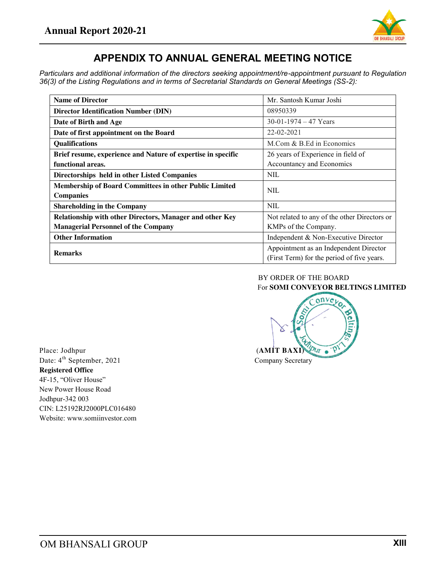

## **APPENDIX TO ANNUAL GENERAL MEETING NOTICE**

*Particulars and additional information of the directors seeking appointment/re-appointment pursuant to Regulation 36(3) of the Listing Regulations and in terms of Secretarial Standards on General Meetings (SS-2):* 

| <b>Name of Director</b>                                       | Mr. Santosh Kumar Joshi                      |  |  |
|---------------------------------------------------------------|----------------------------------------------|--|--|
| <b>Director Identification Number (DIN)</b>                   | 08950339                                     |  |  |
| Date of Birth and Age                                         | $30-01-1974-47$ Years                        |  |  |
| Date of first appointment on the Board                        | $22 - 02 - 2021$                             |  |  |
| Qualifications                                                | M.Com & B.Ed in Economics                    |  |  |
| Brief resume, experience and Nature of expertise in specific  | 26 years of Experience in field of           |  |  |
| functional areas.                                             | Accountancy and Economics                    |  |  |
| Directorships held in other Listed Companies                  | <b>NIL</b>                                   |  |  |
| <b>Membership of Board Committees in other Public Limited</b> | <b>NIL</b>                                   |  |  |
| <b>Companies</b>                                              |                                              |  |  |
| <b>Shareholding in the Company</b>                            | <b>NIL</b>                                   |  |  |
| Relationship with other Directors, Manager and other Key      | Not related to any of the other Directors or |  |  |
| <b>Managerial Personnel of the Company</b>                    | KMPs of the Company.                         |  |  |
| <b>Other Information</b>                                      | Independent & Non-Executive Director         |  |  |
| <b>Remarks</b>                                                | Appointment as an Independent Director       |  |  |
|                                                               | (First Term) for the period of five years.   |  |  |

#### BY ORDER OF THE BOARD For **SOMI CONVEYOR BELTINGS LIMITED**



Date:  $4^{\text{th}}$  September, 2021 Company Secretary **Registered Office**  4F-15, "Oliver House" New Power House Road Jodhpur-342 003 CIN: L25192RJ2000PLC016480 Website: www.somiinvestor.com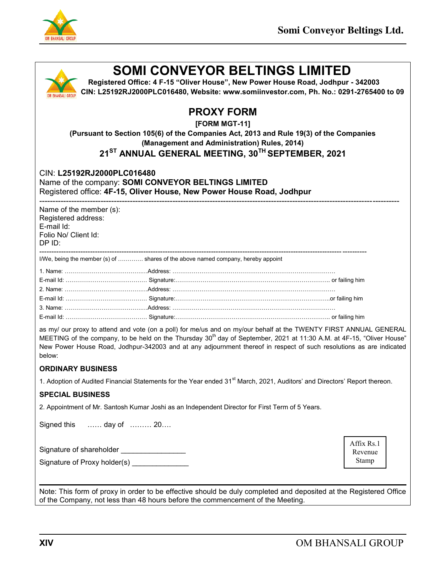

| <b>SOMI CONVEYOR BELTINGS LIMITED</b><br>Registered Office: 4 F-15 "Oliver House", New Power House Road, Jodhpur - 342003<br>CIN: L25192RJ2000PLC016480, Website: www.somiinvestor.com, Ph. No.: 0291-2765400 to 09                                                                                                                                                                     |                                                                                                                                                                     |                                                                                    |  |                                |
|-----------------------------------------------------------------------------------------------------------------------------------------------------------------------------------------------------------------------------------------------------------------------------------------------------------------------------------------------------------------------------------------|---------------------------------------------------------------------------------------------------------------------------------------------------------------------|------------------------------------------------------------------------------------|--|--------------------------------|
|                                                                                                                                                                                                                                                                                                                                                                                         | (Pursuant to Section 105(6) of the Companies Act, 2013 and Rule 19(3) of the Companies<br>21 <sup>ST</sup> ANNUAL GENERAL MEETING, 30 <sup>TH</sup> SEPTEMBER, 2021 | <b>PROXY FORM</b><br>[FORM MGT-11]<br>(Management and Administration) Rules, 2014) |  |                                |
| CIN: L25192RJ2000PLC016480<br>Name of the company: SOMI CONVEYOR BELTINGS LIMITED<br>Registered office: 4F-15, Oliver House, New Power House Road, Jodhpur                                                                                                                                                                                                                              |                                                                                                                                                                     |                                                                                    |  |                                |
| Name of the member (s):<br>Registered address:<br>E-mail Id:<br>Folio No/ Client Id:<br>DP ID:                                                                                                                                                                                                                                                                                          |                                                                                                                                                                     |                                                                                    |  |                                |
| I/We, being the member (s) of  shares of the above named company, hereby appoint                                                                                                                                                                                                                                                                                                        |                                                                                                                                                                     |                                                                                    |  |                                |
|                                                                                                                                                                                                                                                                                                                                                                                         |                                                                                                                                                                     |                                                                                    |  |                                |
|                                                                                                                                                                                                                                                                                                                                                                                         |                                                                                                                                                                     |                                                                                    |  |                                |
|                                                                                                                                                                                                                                                                                                                                                                                         |                                                                                                                                                                     |                                                                                    |  |                                |
|                                                                                                                                                                                                                                                                                                                                                                                         |                                                                                                                                                                     |                                                                                    |  |                                |
|                                                                                                                                                                                                                                                                                                                                                                                         |                                                                                                                                                                     |                                                                                    |  |                                |
| as my/ our proxy to attend and vote (on a poll) for me/us and on my/our behalf at the TWENTY FIRST ANNUAL GENERAL<br>MEETING of the company, to be held on the Thursday 30 <sup>th</sup> day of September, 2021 at 11:30 A.M. at 4F-15, "Oliver House"<br>New Power House Road, Jodhpur-342003 and at any adjournment thereof in respect of such resolutions as are indicated<br>below: |                                                                                                                                                                     |                                                                                    |  |                                |
| <b>ORDINARY BUSINESS</b>                                                                                                                                                                                                                                                                                                                                                                |                                                                                                                                                                     |                                                                                    |  |                                |
| 1. Adoption of Audited Financial Statements for the Year ended 31 <sup>st</sup> March, 2021, Auditors' and Directors' Report thereon.                                                                                                                                                                                                                                                   |                                                                                                                                                                     |                                                                                    |  |                                |
| <b>SPECIAL BUSINESS</b>                                                                                                                                                                                                                                                                                                                                                                 |                                                                                                                                                                     |                                                                                    |  |                                |
| 2. Appointment of Mr. Santosh Kumar Joshi as an Independent Director for First Term of 5 Years.                                                                                                                                                                                                                                                                                         |                                                                                                                                                                     |                                                                                    |  |                                |
| Signed this                                                                                                                                                                                                                                                                                                                                                                             | day of  20                                                                                                                                                          |                                                                                    |  |                                |
| Signature of shareholder ___________________<br>Signature of Proxy holder(s) ______________                                                                                                                                                                                                                                                                                             |                                                                                                                                                                     |                                                                                    |  | Affix Rs.1<br>Revenue<br>Stamp |
| Note: This form of proxy in order to be effective should be duly completed and deposited at the Registered Office<br>of the Company, not less than 48 hours before the commencement of the Meeting.                                                                                                                                                                                     |                                                                                                                                                                     |                                                                                    |  |                                |